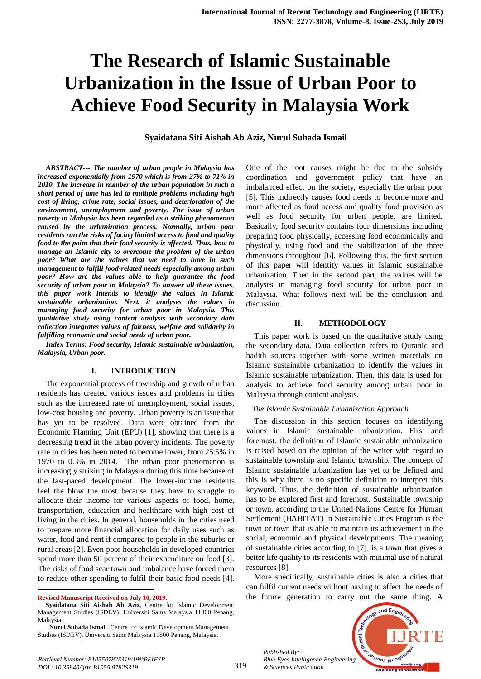# **The Research of Islamic Sustainable Urbanization in the Issue of Urban Poor to Achieve Food Security in Malaysia Work**

**Syaidatana Siti Aishah Ab Aziz, Nurul Suhada Ismail**

*ABSTRACT--- The number of urban people in Malaysia has increased exponentially from 1970 which is from 27% to 71% in 2010. The increase in number of the urban population in such a short period of time has led to multiple problems including high cost of living, crime rate, social issues, and deterioration of the environment, unemployment and poverty. The issue of urban poverty in Malaysia has been regarded as a striking phenomenon caused by the urbanization process. Normally, urban poor residents run the risks of facing limited access to food and quality food to the point that their food security is affected. Thus, how to manage an Islamic city to overcome the problem of the urban poor? What are the values that we need to have in such management to fulfill food-related needs especially among urban poor? How are the values able to help guarantee the food security of urban poor in Malaysia? To answer all these issues, this paper work intends to identify the values in Islamic sustainable urbanization. Next, it analyses the values in managing food security for urban poor in Malaysia. This qualitative study using content analysis with secondary data collection integrates values of fairness, welfare and solidarity in fulfilling economic and social needs of urban poor.*

*Index Terms: Food security, Islamic sustainable urbanization, Malaysia, Urban poor.*

#### **I. INTRODUCTION**

The exponential process of township and growth of urban residents has created various issues and problems in cities such as the increased rate of unemployment, social issues, low-cost housing and poverty. Urban poverty is an issue that has yet to be resolved. Data were obtained from the Economic Planning Unit (EPU) [1], showing that there is a decreasing trend in the urban poverty incidents. The poverty rate in cities has been noted to become lower, from 25.5% in 1970 to 0.3% in 2014. The urban poor phenomenon is increasingly striking in Malaysia during this time because of the fast-paced development. The lower-income residents feel the blow the most because they have to struggle to allocate their income for various aspects of food, home, transportation, education and healthcare with high cost of living in the cities. In general, households in the cities need to prepare more financial allocation for daily uses such as water, food and rent if compared to people in the suburbs or rural areas [2]. Even poor households in developed countries spend more than 50 percent of their expenditure on food [3]. The risks of food scar town and imbalance have forced them to reduce other spending to fulfil their basic food needs [4].

**Revised Manuscript Received on July 10, 2019.**

 $\ddot{\phantom{a}}$ 

One of the root causes might be due to the subsidy coordination and government policy that have an imbalanced effect on the society, especially the urban poor [5]. This indirectly causes food needs to become more and more affected as food access and quality food provision as well as food security for urban people, are limited. Basically, food security contains four dimensions including preparing food physically, accessing food economically and physically, using food and the stabilization of the three dimensions throughout [6]. Following this, the first section of this paper will identify values in Islamic sustainable urbanization. Then in the second part, the values will be analyses in managing food security for urban poor in Malaysia. What follows next will be the conclusion and discussion.

#### **II. METHODOLOGY**

This paper work is based on the qualitative study using the secondary data. Data collection refers to Quranic and hadith sources together with some written materials on Islamic sustainable urbanization to identify the values in Islamic sustainable urbanization. Then, this data is used for analysis to achieve food security among urban poor in Malaysia through content analysis.

#### *The Islamic Sustainable Urbanization Approach*

The discussion in this section focuses on identifying values in Islamic sustainable urbanization. First and foremost, the definition of Islamic sustainable urbanization is raised based on the opinion of the writer with regard to sustainable township and Islamic township. The concept of Islamic sustainable urbanization has yet to be defined and this is why there is no specific definition to interpret this keyword. Thus, the definition of sustainable urbanization has to be explored first and foremost. Sustainable township or town, according to the United Nations Centre for Human Settlement (HABITAT) in Sustainable Cities Program is the town or town that is able to maintain its achievement in the social, economic and physical developments. The meaning of sustainable cities according to [7], is a town that gives a better life quality to its residents with minimal use of natural resources [8].

More specifically, sustainable cities is also a cities that can fulfil current needs without having to affect the needs of the future generation to carry out the same thing. A

*Published By: Blue Eyes Intelligence Engineering & Sciences Publication* 



**Syaidatana Siti Aishah Ab Aziz**, Centre for Islamic Development Management Studies (ISDEV), Universiti Sains Malaysia 11800 Penang, Malaysia.

**Nurul Suhada Ismail**, Centre for Islamic Development Management Studies (ISDEV), Universiti Sains Malaysia 11800 Penang, Malaysia.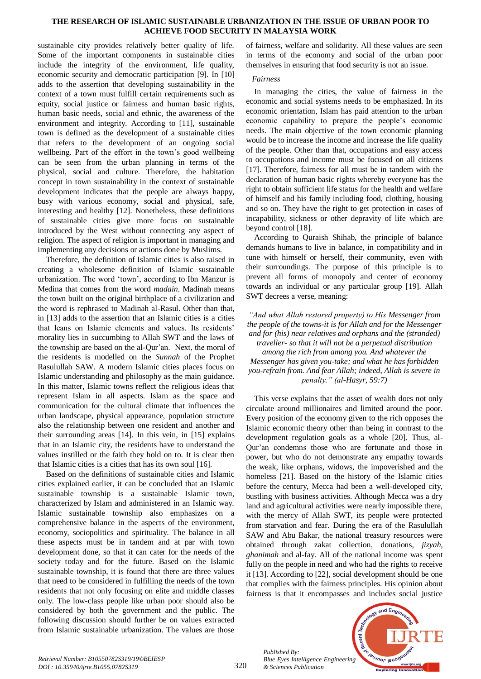# **THE RESEARCH OF ISLAMIC SUSTAINABLE URBANIZATION IN THE ISSUE OF URBAN POOR TO ACHIEVE FOOD SECURITY IN MALAYSIA WORK**

sustainable city provides relatively better quality of life. Some of the important components in sustainable cities include the integrity of the environment, life quality, economic security and democratic participation [9]. In [10] adds to the assertion that developing sustainability in the context of a town must fulfill certain requirements such as equity, social justice or fairness and human basic rights, human basic needs, social and ethnic, the awareness of the environment and integrity. According to [11], sustainable town is defined as the development of a sustainable cities that refers to the development of an ongoing social wellbeing. Part of the effort in the town's good wellbeing can be seen from the urban planning in terms of the physical, social and culture. Therefore, the habitation concept in town sustainability in the context of sustainable development indicates that the people are always happy, busy with various economy, social and physical, safe, interesting and healthy [12]. Nonetheless, these definitions of sustainable cities give more focus on sustainable introduced by the West without connecting any aspect of religion. The aspect of religion is important in managing and implementing any decisions or actions done by Muslims.

Therefore, the definition of Islamic cities is also raised in creating a wholesome definition of Islamic sustainable urbanization. The word 'town', according to Ibn Manzur is Medina that comes from the word *madain*. Madinah means the town built on the original birthplace of a civilization and the word is rephrased to Madinah al-Rasul. Other than that, in [13] adds to the assertion that an Islamic cities is a cities that leans on Islamic elements and values. Its residents' morality lies in succumbing to Allah SWT and the laws of the township are based on the al-Qur'an. Next, the moral of the residents is modelled on the *Sunnah* of the Prophet Rasulullah SAW. A modern Islamic cities places focus on Islamic understanding and philosophy as the main guidance. In this matter, Islamic towns reflect the religious ideas that represent Islam in all aspects. Islam as the space and communication for the cultural climate that influences the urban landscape, physical appearance, population structure also the relationship between one resident and another and their surrounding areas [14]. In this vein, in [15] explains that in an Islamic city, the residents have to understand the values instilled or the faith they hold on to. It is clear then that Islamic cities is a cities that has its own soul [16].

Based on the definitions of sustainable cities and Islamic cities explained earlier, it can be concluded that an Islamic sustainable township is a sustainable Islamic town, characterized by Islam and administered in an Islamic way. Islamic sustainable township also emphasizes on a comprehensive balance in the aspects of the environment, economy, sociopolitics and spirituality. The balance in all these aspects must be in tandem and at par with town development done, so that it can cater for the needs of the society today and for the future. Based on the Islamic sustainable township, it is found that there are three values that need to be considered in fulfilling the needs of the town residents that not only focusing on elite and middle classes only. The low-class people like urban poor should also be considered by both the government and the public. The following discussion should further be on values extracted from Islamic sustainable urbanization. The values are those

of fairness, welfare and solidarity. All these values are seen in terms of the economy and social of the urban poor themselves in ensuring that food security is not an issue.

## *Fairness*

In managing the cities, the value of fairness in the economic and social systems needs to be emphasized. In its economic orientation, Islam has paid attention to the urban economic capability to prepare the people's economic needs. The main objective of the town economic planning would be to increase the income and increase the life quality of the people. Other than that, occupations and easy access to occupations and income must be focused on all citizens [17]. Therefore, fairness for all must be in tandem with the declaration of human basic rights whereby everyone has the right to obtain sufficient life status for the health and welfare of himself and his family including food, clothing, housing and so on. They have the right to get protection in cases of incapability, sickness or other depravity of life which are beyond control [18].

According to Quraish Shihab, the principle of balance demands humans to live in balance, in compatibility and in tune with himself or herself, their community, even with their surroundings. The purpose of this principle is to prevent all forms of monopoly and center of economy towards an individual or any particular group [19]. Allah SWT decrees a verse, meaning:

*"And what Allah restored property) to His Messenger from the people of the towns-it is for Allah and for the Messenger and for (his) near relatives and orphans and the (stranded) traveller- so that it will not be a perpetual distribution among the rich from among you. And whatever the Messenger has given you-take; and what he has forbidden you-refrain from. And fear Allah; indeed, Allah is severe in penalty." (al-Hasyr, 59:7)*

This verse explains that the asset of wealth does not only circulate around millionaires and limited around the poor. Every position of the economy given to the rich opposes the Islamic economic theory other than being in contrast to the development regulation goals as a whole [20]. Thus, al-Qur'an condemns those who are fortunate and those in power, but who do not demonstrate any empathy towards the weak, like orphans, widows, the impoverished and the homeless [21]. Based on the history of the Islamic cities before the century, Mecca had been a well-developed city, bustling with business activities. Although Mecca was a dry land and agricultural activities were nearly impossible there, with the mercy of Allah SWT, its people were protected from starvation and fear. During the era of the Rasulullah SAW and Abu Bakar, the national treasury resources were obtained through zakat collection, donations, *jizyah*, *ghanimah* and al-fay. All of the national income was spent fully on the people in need and who had the rights to receive it [13]. According to [22], social development should be one that complies with the fairness principles. His opinion about fairness is that it encompasses and includes social justice

*Published By: Blue Eyes Intelligence Engineering & Sciences Publication* 

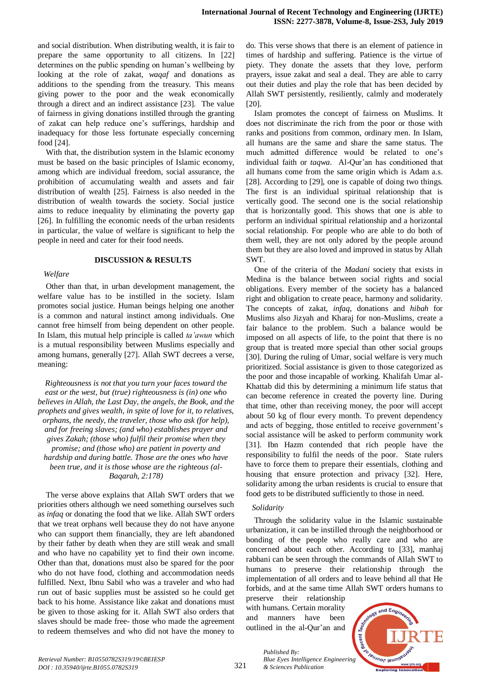and social distribution. When distributing wealth, it is fair to prepare the same opportunity to all citizens. In [22] determines on the public spending on human's wellbeing by looking at the role of zakat, *waqaf* and donations as additions to the spending from the treasury. This means giving power to the poor and the weak economically through a direct and an indirect assistance [23]. The value of fairness in giving donations instilled through the granting of zakat can help reduce one's sufferings, hardship and inadequacy for those less fortunate especially concerning food [24].

With that, the distribution system in the Islamic economy must be based on the basic principles of Islamic economy, among which are individual freedom, social assurance, the prohibition of accumulating wealth and assets and fair distribution of wealth [25]. Fairness is also needed in the distribution of wealth towards the society. Social justice aims to reduce inequality by eliminating the poverty gap [26]. In fulfilling the economic needs of the urban residents in particular, the value of welfare is significant to help the people in need and cater for their food needs.

#### **DISCUSSION & RESULTS**

*Welfare*

Other than that, in urban development management, the welfare value has to be instilled in the society. Islam promotes social justice. Human beings helping one another is a common and natural instinct among individuals. One cannot free himself from being dependent on other people. In Islam, this mutual help principle is called *ta'awun* which is a mutual responsibility between Muslims especially and among humans, generally [27]. Allah SWT decrees a verse, meaning:

*Righteousness is not that you turn your faces toward the east or the west, but (true) righteousness is (in) one who believes in Allah, the Last Day, the angels, the Book, and the prophets and gives wealth, in spite of love for it, to relatives, orphans, the needy, the traveler, those who ask (for help), and for freeing slaves; (and who) establishes prayer and gives Zakah; (those who) fulfil their promise when they promise; and (those who) are patient in poverty and hardship and during battle. Those are the ones who have been true, and it is those whose are the righteous (al-Baqarah, 2:178)*

The verse above explains that Allah SWT orders that we priorities others although we need something ourselves such as *infaq* or donating the food that we like. Allah SWT orders that we treat orphans well because they do not have anyone who can support them financially, they are left abandoned by their father by death when they are still weak and small and who have no capability yet to find their own income. Other than that, donations must also be spared for the poor who do not have food, clothing and accommodation needs fulfilled. Next, Ibnu Sabil who was a traveler and who had run out of basic supplies must be assisted so he could get back to his home. Assistance like zakat and donations must be given to those asking for it. Allah SWT also orders that slaves should be made free- those who made the agreement to redeem themselves and who did not have the money to do. This verse shows that there is an element of patience in times of hardship and suffering. Patience is the virtue of piety. They donate the assets that they love, perform prayers, issue zakat and seal a deal. They are able to carry out their duties and play the role that has been decided by Allah SWT persistently, resiliently, calmly and moderately [20].

Islam promotes the concept of fairness on Muslims. It does not discriminate the rich from the poor or those with ranks and positions from common, ordinary men. In Islam, all humans are the same and share the same status. The much admitted difference would be related to one's individual faith or *taqwa*. Al-Qur'an has conditioned that all humans come from the same origin which is Adam a.s. [28]. According to [29], one is capable of doing two things. The first is an individual spiritual relationship that is vertically good. The second one is the social relationship that is horizontally good. This shows that one is able to perform an individual spiritual relationship and a horizontal social relationship. For people who are able to do both of them well, they are not only adored by the people around them but they are also loved and improved in status by Allah SWT.

One of the criteria of the *Madani* society that exists in Medina is the balance between social rights and social obligations. Every member of the society has a balanced right and obligation to create peace, harmony and solidarity. The concepts of zakat, *infaq*, donations and *hibah* for Muslims also Jizyah and Kharaj for non-Muslims, create a fair balance to the problem. Such a balance would be imposed on all aspects of life, to the point that there is no group that is treated more special than other social groups [30]. During the ruling of Umar, social welfare is very much prioritized. Social assistance is given to those categorized as the poor and those incapable of working. Khalifah Umar al-Khattab did this by determining a minimum life status that can become reference in created the poverty line. During that time, other than receiving money, the poor will accept about 50 kg of flour every month. To prevent dependency and acts of begging, those entitled to receive government's social assistance will be asked to perform community work [31]. Ibn Hazm contended that rich people have the responsibility to fulfil the needs of the poor. State rulers have to force them to prepare their essentials, clothing and housing that ensure protection and privacy [32]. Here, solidarity among the urban residents is crucial to ensure that food gets to be distributed sufficiently to those in need.

#### *Solidarity*

Through the solidarity value in the Islamic sustainable urbanization, it can be instilled through the neighborhood or bonding of the people who really care and who are concerned about each other. According to [33], manhaj rabbani can be seen through the commands of Allah SWT to humans to preserve their relationship through the implementation of all orders and to leave behind all that He forbids, and at the same time Allah SWT orders humans to

preserve their relationship with humans. Certain morality and manners have been outlined in the al-Qur'an and

*& Sciences Publication* 

*Published By:*

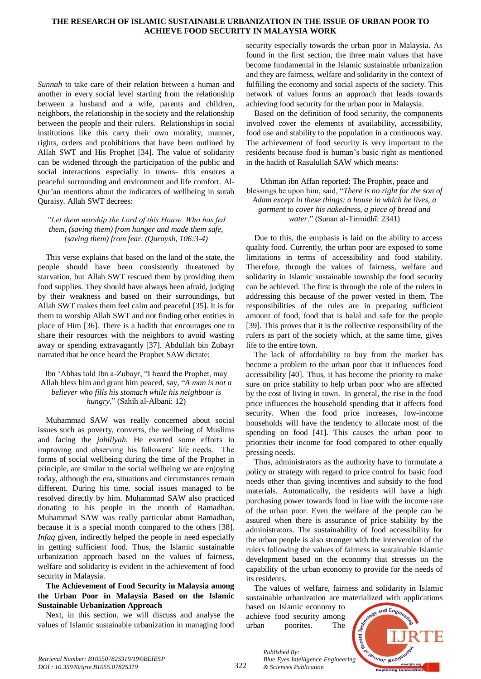## **THE RESEARCH OF ISLAMIC SUSTAINABLE URBANIZATION IN THE ISSUE OF URBAN POOR TO ACHIEVE FOOD SECURITY IN MALAYSIA WORK**

*Sunnah* to take care of their relation between a human and another in every social level starting from the relationship between a husband and a wife, parents and children, neighbors, the relationship in the society and the relationship between the people and their rulers. Relationships in social institutions like this carry their own morality, manner, rights, orders and prohibitions that have been outlined by Allah SWT and His Prophet [34]. The value of solidarity can be widened through the participation of the public and social interactions especially in towns- this ensures a peaceful surrounding and environment and life comfort. Al-Qur'an mentions about the indicators of wellbeing in surah Quraisy. Allah SWT decrees:

# *"Let them worship the Lord of this House. Who has fed them, (saving them) from hunger and made them safe, (saving them) from fear. (Quraysh, 106:3-4)*

This verse explains that based on the land of the state, the people should have been consistently threatened by starvation, but Allah SWT rescued them by providing them food supplies. They should have always been afraid, judging by their weakness and based on their surroundings, but Allah SWT makes them feel calm and peaceful [35]. It is for them to worship Allah SWT and not finding other entities in place of Him [36]. There is a hadith that encourages one to share their resources with the neighbors to avoid wasting away or spending extravagantly [37]. Abdullah bin Zubayr narrated that he once heard the Prophet SAW dictate:

# Ibn 'Abbas told Ibn a-Zubayr, "I heard the Prophet, may Allah bless him and grant him peaced, say, "*A man is not a believer who fills his stomach while his neighbour is hungry*." (Sahih al-Albani: 12)

Muhammad SAW was really concerned about social issues such as poverty, converts, the wellbeing of Muslims and facing the *jahiliyah*. He exerted some efforts in improving and observing his followers' life needs. The forms of social wellbeing during the time of the Prophet in principle, are similar to the social wellbeing we are enjoying today, although the era, situations and circumstances remain different. During his time, social issues managed to be resolved directly by him. Muhammad SAW also practiced donating to his people in the month of Ramadhan. Muhammad SAW was really particular about Ramadhan, because it is a special month compared to the others [38]. *Infaq* given, indirectly helped the people in need especially in getting sufficient food. Thus, the Islamic sustainable urbanization approach based on the values of fairness, welfare and solidarity is evident in the achievement of food security in Malaysia.

# **The Achievement of Food Security in Malaysia among the Urban Poor in Malaysia Based on the Islamic Sustainable Urbanization Approach**

Next, in this section, we will discuss and analyse the values of Islamic sustainable urbanization in managing food security especially towards the urban poor in Malaysia. As found in the first section, the three main values that have become fundamental in the Islamic sustainable urbanization and they are fairness, welfare and solidarity in the context of fulfilling the economy and social aspects of the society. This network of values forms an approach that leads towards achieving food security for the urban poor in Malaysia.

Based on the definition of food security, the components involved cover the elements of availability, accessibility, food use and stability to the population in a continuous way. The achievement of food security is very important to the residents because food is human's basic right as mentioned in the hadith of Rasulullah SAW which means:

Uthman ibn Affan reported: The Prophet, peace and blessings be upon him, said, "*There is no right for the son of Adam except in these things: a house in which he lives, a garment to cover his nakedness, a piece of bread and water.*" (Sunan al-Tirmidhī: 2341)

Due to this, the emphasis is laid on the ability to access quality food. Currently, the urban poor are exposed to some limitations in terms of accessibility and food stability. Therefore, through the values of fairness, welfare and solidarity in Islamic sustainable township the food security can be achieved. The first is through the role of the rulers in addressing this because of the power vested in them. The responsibilities of the rules are in preparing sufficient amount of food, food that is halal and safe for the people [39]. This proves that it is the collective responsibility of the rulers as part of the society which, at the same time, gives life to the entire town.

The lack of affordability to buy from the market has become a problem to the urban poor that it influences food accessibility [40]. Thus, it has become the priority to make sure on price stability to help urban poor who are affected by the cost of living in town. In general, the rise in the food price influences the household spending that it affects food security. When the food price increases, low-income households will have the tendency to allocate most of the spending on food [41]. This causes the urban poor to priorities their income for food compared to other equally pressing needs.

Thus, administrators as the authority have to formulate a policy or strategy with regard to price control for basic food needs other than giving incentives and subsidy to the food materials. Automatically, the residents will have a high purchasing power towards food in line with the income rate of the urban poor. Even the welfare of the people can be assured when there is assurance of price stability by the administrators. The sustainability of food accessibility for the urban people is also stronger with the intervention of the rulers following the values of fairness in sustainable Islamic development based on the economy that stresses on the capability of the urban economy to provide for the needs of its residents.

The values of welfare, fairness and solidarity in Islamic sustainable urbanization are materialized with applications

based on Islamic economy to achieve food security among urban poorites. The

*Published By:*

*& Sciences Publication* 

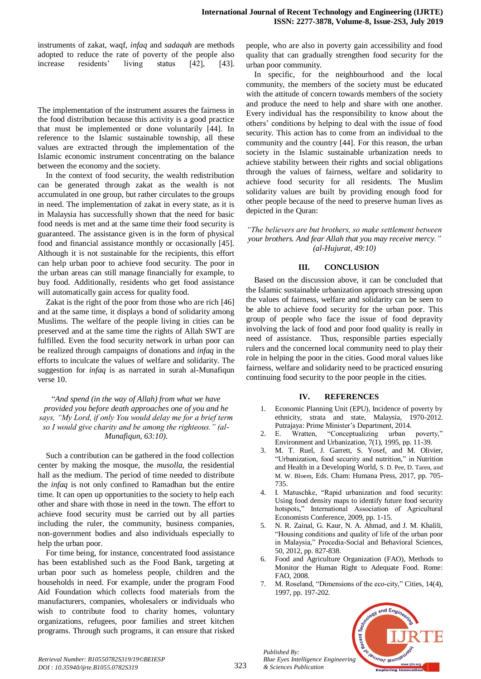| instruments of zakat, waqf, <i>infaq</i> and <i>sadaqah</i> are methods |            |  |        |        |          |          |
|-------------------------------------------------------------------------|------------|--|--------|--------|----------|----------|
| adopted to reduce the rate of poverty of the people also                |            |  |        |        |          |          |
| increase                                                                | residents' |  | living | status | $[42]$ , | $[43]$ . |

The implementation of the instrument assures the fairness in the food distribution because this activity is a good practice that must be implemented or done voluntarily [44]. In reference to the Islamic sustainable township, all these values are extracted through the implementation of the Islamic economic instrument concentrating on the balance between the economy and the society.

In the context of food security, the wealth redistribution can be generated through zakat as the wealth is not accumulated in one group, but rather circulates to the groups in need. The implementation of zakat in every state, as it is in Malaysia has successfully shown that the need for basic food needs is met and at the same time their food security is guaranteed. The assistance given is in the form of physical food and financial assistance monthly or occasionally [45]. Although it is not sustainable for the recipients, this effort can help urban poor to achieve food security. The poor in the urban areas can still manage financially for example, to buy food. Additionally, residents who get food assistance will automatically gain access for quality food.

Zakat is the right of the poor from those who are rich [46] and at the same time, it displays a bond of solidarity among Muslims. The welfare of the people living in cities can be preserved and at the same time the rights of Allah SWT are fulfilled. Even the food security network in urban poor can be realized through campaigns of donations and *infaq* in the efforts to inculcate the values of welfare and solidarity. The suggestion for *infaq* is as narrated in surah al-Munafiqun verse 10.

"*And spend (in the way of Allah) from what we have provided you before death approaches one of you and he says, "My Lord, if only You would delay me for a brief term so I would give charity and be among the righteous." (al-Munafiqun, 63:10).*

Such a contribution can be gathered in the food collection center by making the mosque, the *musolla*, the residential hall as the medium. The period of time needed to distribute the *infaq* is not only confined to Ramadhan but the entire time. It can open up opportunities to the society to help each other and share with those in need in the town. The effort to achieve food security must be carried out by all parties including the ruler, the community, business companies, non-government bodies and also individuals especially to help the urban poor.

For time being, for instance, concentrated food assistance has been established such as the Food Bank, targeting at urban poor such as homeless people, children and the households in need. For example, under the program Food Aid Foundation which collects food materials from the manufacturers, companies, wholesalers or individuals who wish to contribute food to charity homes, voluntary organizations, refugees, poor families and street kitchen programs. Through such programs, it can ensure that risked people, who are also in poverty gain accessibility and food quality that can gradually strengthen food security for the urban poor community.

In specific, for the neighbourhood and the local community, the members of the society must be educated with the attitude of concern towards members of the society and produce the need to help and share with one another. Every individual has the responsibility to know about the others' conditions by helping to deal with the issue of food security. This action has to come from an individual to the community and the country [44]. For this reason, the urban society in the Islamic sustainable urbanization needs to achieve stability between their rights and social obligations through the values of fairness, welfare and solidarity to achieve food security for all residents. The Muslim solidarity values are built by providing enough food for other people because of the need to preserve human lives as depicted in the Quran:

*"The believers are but brothers, so make settlement between your brothers. And fear Allah that you may receive mercy." (al-Hujurat, 49:10)*

# **III. CONCLUSION**

Based on the discussion above, it can be concluded that the Islamic sustainable urbanization approach stressing upon the values of fairness, welfare and solidarity can be seen to be able to achieve food security for the urban poor. This group of people who face the issue of food depravity involving the lack of food and poor food quality is really in need of assistance. Thus, responsible parties especially rulers and the concerned local community need to play their role in helping the poor in the cities. Good moral values like fairness, welfare and solidarity need to be practiced ensuring continuing food security to the poor people in the cities.

# **IV. REFERENCES**

- 1. Economic Planning Unit (EPU), Incidence of poverty by ethnicity, strata and state, Malaysia, 1970-2012. Putrajaya: Prime Minister's Department, 2014.
- 2. E. Wratten, "Conceptualizing urban poverty," Environment and Urbanization, 7(1), 1995, pp. 11-39.
- 3. M. T. Ruel, J. Garrett, S. Yosef, and M. Olivier, "Urbanization, food security and nutrition," in Nutrition and Health in a Developing World, S. D. Pee, D. Taren, and M. W. Bloem, Eds. Cham: Humana Press, 2017, pp. 705- 735.
- 4. I. Matuschke, "Rapid urbanization and food security: Using food density maps to identify future food security hotspots," International Association of Agricultural Economists Conference, 2009, pp. 1-15.
- 5. N. R. Zainal, G. Kaur, N. A. Ahmad, and J. M. Khalili, "Housing conditions and quality of life of the urban poor in Malaysia," Procedia-Social and Behavioral Sciences, 50, 2012, pp. 827-838.
- 6. Food and Agriculture Organization (FAO), Methods to Monitor the Human Right to Adequate Food. Rome: FAO, 2008.
- 7. M. Roseland, "Dimensions of the eco-city," Cities, 14(4), 1997, pp. 197-202.



*Retrieval Number: B10550782S319/19©BEIESP DOI : 10.35940/ijrte.B1055.0782S319*

*Published By:*

*& Sciences Publication*